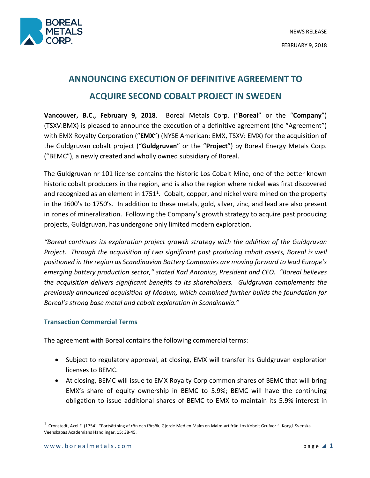

# **ANNOUNCING EXECUTION OF DEFINITIVE AGREEMENT TO ACQUIRE SECOND COBALT PROJECT IN SWEDEN**

**Vancouver, B.C., February 9, 2018**. Boreal Metals Corp. ("**Boreal**" or the "**Company**") (TSXV:BMX) is pleased to announce the execution of a definitive agreement (the "Agreement") with EMX Royalty Corporation ("**EMX**") (NYSE American: EMX, TSXV: EMX) for the acquisition of the Guldgruvan cobalt project ("**Guldgruvan**" or the "**Project**") by Boreal Energy Metals Corp. ("BEMC"), a newly created and wholly owned subsidiary of Boreal.

The Guldgruvan nr 101 license contains the historic Los Cobalt Mine, one of the better known historic cobalt producers in the region, and is also the region where nickel was first discovered and recognized as an element in  $1751<sup>1</sup>$ . Cobalt, copper, and nickel were mined on the property in the 1600's to 1750's. In addition to these metals, gold, silver, zinc, and lead are also present in zones of mineralization. Following the Company's growth strategy to acquire past producing projects, Guldgruvan, has undergone only limited modern exploration.

*"Boreal continues its exploration project growth strategy with the addition of the Guldgruvan Project. Through the acquisition of two significant past producing cobalt assets, Boreal is well positioned in the region as Scandinavian Battery Companies are moving forward to lead Europe's emerging battery production sector," stated Karl Antonius, President and CEO. "Boreal believes the acquisition delivers significant benefits to its shareholders. Guldgruvan complements the previously announced acquisition of Modum, which combined further builds the foundation for Boreal's strong base metal and cobalt exploration in Scandinavia."*

# **Transaction Commercial Terms**

The agreement with Boreal contains the following commercial terms:

- Subject to regulatory approval, at closing, EMX will transfer its Guldgruvan exploration licenses to BEMC.
- At closing, BEMC will issue to EMX Royalty Corp common shares of BEMC that will bring EMX's share of equity ownership in BEMC to 5.9%; BEMC will have the continuing obligation to issue additional shares of BEMC to EMX to maintain its 5.9% interest in

1

 $<sup>1</sup>$  Cronstedt, Axel F. (1754). "Fortsättning af rön och försök, Gjorde Med en Malm en Malm-art frän Los Kobolt Grufvor." Kongl. Svenska</sup> Veenskapas Academians Handlingar. 15: 38-45.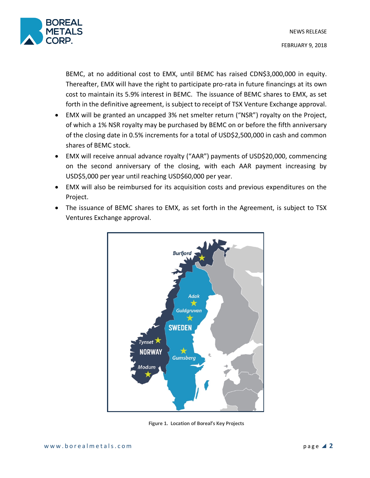

BEMC, at no additional cost to EMX, until BEMC has raised CDN\$3,000,000 in equity. Thereafter, EMX will have the right to participate pro-rata in future financings at its own cost to maintain its 5.9% interest in BEMC. The issuance of BEMC shares to EMX, as set forth in the definitive agreement, is subject to receipt of TSX Venture Exchange approval.

- EMX will be granted an uncapped 3% net smelter return ("NSR") royalty on the Project, of which a 1% NSR royalty may be purchased by BEMC on or before the fifth anniversary of the closing date in 0.5% increments for a total of USD\$2,500,000 in cash and common shares of BEMC stock.
- EMX will receive annual advance royalty ("AAR") payments of USD\$20,000, commencing on the second anniversary of the closing, with each AAR payment increasing by USD\$5,000 per year until reaching USD\$60,000 per year.
- EMX will also be reimbursed for its acquisition costs and previous expenditures on the Project.
- The issuance of BEMC shares to EMX, as set forth in the Agreement, is subject to TSX Ventures Exchange approval.



**Figure 1. Location of Boreal's Key Projects**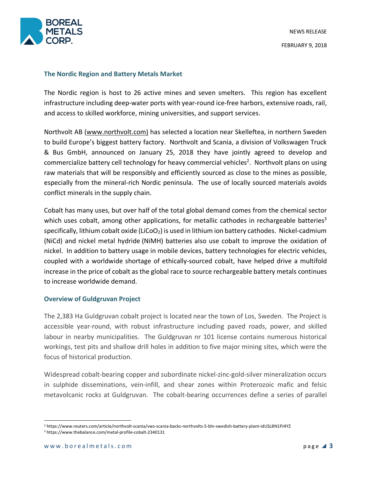

### **The Nordic Region and Battery Metals Market**

The Nordic region is host to 26 active mines and seven smelters. This region has excellent infrastructure including deep-water ports with year-round ice-free harbors, extensive roads, rail, and access to skilled workforce, mining universities, and support services.

Northvolt AB (www.northvolt.com) has selected a location near Skelleftea, in northern Sweden to build Europe's biggest battery factory. Northvolt and Scania, a division of Volkswagen Truck & Bus GmbH, announced on January 25, 2018 they have jointly agreed to develop and commercialize battery cell technology for heavy commercial vehicles<sup>2</sup>. Northvolt plans on using raw materials that will be responsibly and efficiently sourced as close to the mines as possible, especially from the mineral-rich Nordic peninsula. The use of locally sourced materials avoids conflict minerals in the supply chain.

Cobalt has many uses, but over half of the total global demand comes from the chemical sector which uses cobalt, among other applications, for metallic cathodes in rechargeable batteries<sup>3</sup> specifically, lithium cobalt oxide (LiCoO<sub>2</sub>) is used in lithium ion battery cathodes. Nickel-cadmium (NiCd) and nickel metal hydride (NiMH) batteries also use cobalt to improve the oxidation of nickel. In addition to battery usage in mobile devices, battery technologies for electric vehicles, coupled with a worldwide shortage of ethically-sourced cobalt, have helped drive a multifold increase in the price of cobalt as the global race to source rechargeable battery metals continues to increase worldwide demand.

# **Overview of Guldgruvan Project**

The 2,383 Ha Guldgruvan cobalt project is located near the town of Los, Sweden. The Project is accessible year-round, with robust infrastructure including paved roads, power, and skilled labour in nearby municipalities. The Guldgruvan nr 101 license contains numerous historical workings, test pits and shallow drill holes in addition to five major mining sites, which were the focus of historical production.

Widespread cobalt-bearing copper and subordinate nickel-zinc-gold-silver mineralization occurs in sulphide disseminations, vein-infill, and shear zones within Proterozoic mafic and felsic metavolcanic rocks at Guldgruvan. The cobalt-bearing occurrences define a series of parallel

 <sup>2</sup> https://www.reuters.com/article/northvolt-scania/vws-scania-backs-northvolts-5-bln-swedish-battery-plant-idUSL8N1PJ4YZ <sup>3</sup> https://www.thebalance.com/metal-profile-cobalt-2340131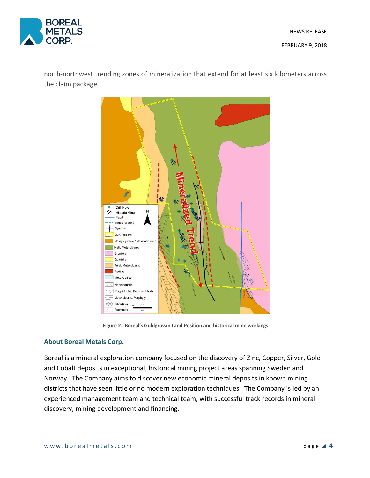

north-northwest trending zones of mineralization that extend for at least six kilometers across the claim package.



**Figure 2. Boreal's Guldgruvan Land Position and historical mine workings**

# **About Boreal Metals Corp.**

Boreal is a mineral exploration company focused on the discovery of Zinc, Copper, Silver, Gold and Cobalt deposits in exceptional, historical mining project areas spanning Sweden and Norway. The Company aims to discover new economic mineral deposits in known mining districts that have seen little or no modern exploration techniques. The Company is led by an experienced management team and technical team, with successful track records in mineral discovery, mining development and financing.